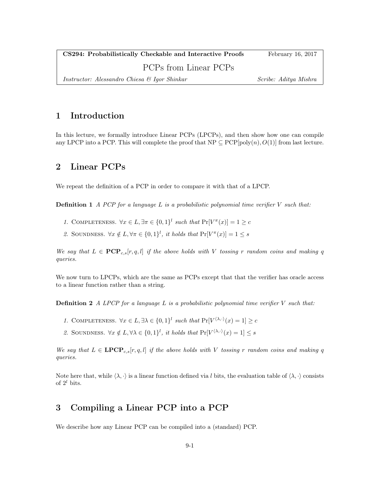| CS294: Probabilistically Checkable and Interactive Proofs | February 16, 2017     |
|-----------------------------------------------------------|-----------------------|
| PCPs from Linear PCPs                                     |                       |
| Instructor: Alessandro Chiesa & Igor Shinkar              | Scribe: Aditya Mishra |

# 1 Introduction

In this lecture, we formally introduce Linear PCPs (LPCPs), and then show how one can compile any LPCP into a PCP. This will complete the proof that  $NP \subseteq PCP[poly(n), O(1)]$  from last lecture.

# 2 Linear PCPs

We repeat the definition of a PCP in order to compare it with that of a LPCP.

**Definition 1** A PCP for a language L is a probabilistic polynomial time verifier  $V$  such that:

- 1. COMPLETENESS.  $\forall x \in L, \exists \pi \in \{0,1\}^l$  such that  $Pr[V^{\pi}(x)] = 1 \geq c$
- 2. SOUNDNESS.  $\forall x \notin L, \forall \pi \in \{0,1\}^l$ , it holds that  $Pr[V^{\pi}(x)] = 1 \leq s$

We say that  $L \in \mathbb{PCP}_{c,s}[r,q,l]$  if the above holds with V tossing r random coins and making q queries.

We now turn to LPCPs, which are the same as PCPs except that that the verifier has oracle access to a linear function rather than a string.

**Definition 2** A LPCP for a language L is a probabilistic polynomial time verifier  $V$  such that:

- 1. COMPLETENESS.  $\forall x \in L, \exists \lambda \in \{0,1\}^l$  such that  $Pr[V^{\langle \lambda, \cdot \rangle}(x) = 1] \ge c$
- 2. SOUNDNESS.  $\forall x \notin L, \forall \lambda \in \{0,1\}^l$ , it holds that  $Pr[V^{\langle \lambda, \cdot \rangle}(x) = 1] \leq s$

We say that  $L \in \mathbf{LPCP}_{c,s}[r, q, l]$  if the above holds with V tossing r random coins and making q queries.

Note here that, while  $\langle \lambda, \cdot \rangle$  is a linear function defined via l bits, the evaluation table of  $\langle \lambda, \cdot \rangle$  consists of  $2^l$  bits.

# 3 Compiling a Linear PCP into a PCP

We describe how any Linear PCP can be compiled into a (standard) PCP.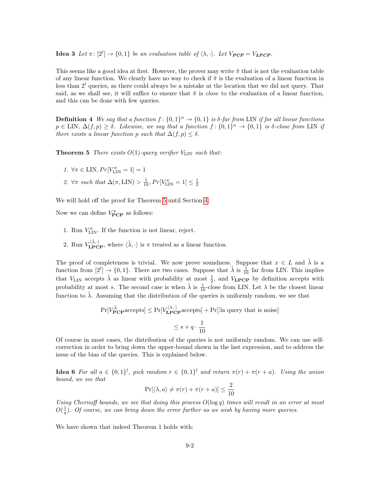**Idea 3** Let  $\pi$ :  $[2^l] \rightarrow \{0,1\}$  be an evaluation table of  $\langle \lambda, \cdot \rangle$ . Let  $V_{PCP} = V_{LPCP}$ .

This seems like a good idea at first. However, the prover may write  $\tilde{\pi}$  that is not the evaluation table of any linear function. We clearly have no way to check if  $\tilde{\pi}$  is the evaluation of a linear function in less than  $2^{l}$  queries, as there could always be a mistake at the location that we did not query. That said, as we shall see, it will suffice to ensure that  $\tilde{\pi}$  is *close* to the evaluation of a linear function, and this can be done with few queries.

**Definition 4** We say that a function  $f: \{0,1\}^n \to \{0,1\}$  is  $\delta$ -far from LIN if for all linear functions  $p \in \text{LIN}, \Delta(f, p) \geq \delta.$  Likewise, we say that a function  $f: \{0,1\}^n \rightarrow \{0,1\}$  is  $\delta\text{-close from LIN}$  if there exists a linear function p such that  $\Delta(f, p) \leq \delta$ .

<span id="page-1-0"></span>**Theorem 5** There exists  $O(1)$ -query verifier  $V_{\text{LIN}}$  such that:

- 1.  $\forall \pi \in \text{LIN}, Pr[V^\pi_\text{LIN} = 1] = 1$
- 2.  $\forall \pi$  such that  $\Delta(\pi, \text{LIN}) > \frac{1}{10}, Pr[V^{\pi}_{\text{LIN}} = 1] \leq \frac{1}{2}$

We will hold off the proof for Theorem [5](#page-1-0) until Section [4.](#page-2-0)

Now we can define  $V^{\pi}_{\text{PCP}}$  as follows:

- 1. Run  $V_{\text{LIN}}^{\pi}$ . If the function is not linear, reject.
- 2. Run  $V_{\text{LPCP}}^{(\tilde{\lambda}, \cdot)}$ , where  $\langle \tilde{\lambda}, \cdot \rangle$  is  $\pi$  treated as a linear function.

The proof of completeness is trivial. We now prove soundness. Suppose that  $x \in L$  and  $\tilde{\lambda}$  is a function from  $[2^l] \rightarrow \{0,1\}$ . There are two cases. Suppose that  $\tilde{\lambda}$  is  $\tilde{1}$  far from LIN. This implies that  $V_{\text{LIN}}$  accepts  $\tilde{\lambda}$  as linear with probability at most  $\frac{1}{2}$ , and  $V_{\text{LPCP}}$  by definition accepts with probability at most s. The second case is when  $\tilde{\lambda}$  is  $\frac{1}{10}$ -close from LIN. Let  $\lambda$  be the closest linear function to  $\lambda$ . Assuming that the distribution of the queries is uniformly random, we see that

$$
\Pr[V_{\text{PCP}^\lambda}^{\tilde{\lambda}} \ge \Pr[V_{\text{LPCP}}^{(\lambda, \cdot)} \text{accepts}] + \Pr[\exists \text{a query that is noise}]
$$
  

$$
\le s + q \cdot \frac{1}{10}
$$

Of course in most cases, the distribution of the queries is not uniformly random. We can use selfcorrection in order to bring down the upper-bound shown in the last expression, and to address the issue of the bias of the queries. This is explained below.

**Idea 6** For all  $a \in \{0,1\}^l$ , pick random  $r \in \{0,1\}^l$  and return  $\pi(r) + \pi(r + a)$ . Using the union bound, we see that

$$
\Pr[\langle \lambda, a \rangle \neq \pi(r) + \pi(r+a)] \leq \frac{2}{10}
$$

Using Chernoff bounds, we see that doing this process  $O(\log q)$  times will result in an error at most  $O(\frac{1}{q})$ . Of course, we can bring down the error further as we wish by having more queries.

We have shown that indeed Theorem 1 holds with: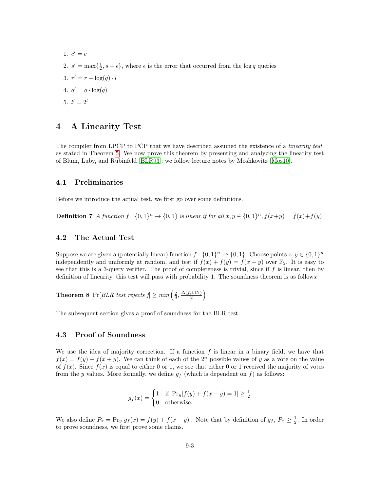1.  $c' = c$ 2.  $s' = \max\{\frac{1}{2}, s + \epsilon\}$ , where  $\epsilon$  is the error that occurred from the log q queries 3.  $r' = r + \log(q) \cdot l$ 4.  $q' = q \cdot \log(q)$ 5.  $l' = 2^l$ 

### <span id="page-2-0"></span>4 A Linearity Test

The compiler from LPCP to PCP that we have described assumed the existence of a *linearity test*, as stated in Theorem [5.](#page-1-0) We now prove this theorem by presenting and analyzing the linearity test of Blum, Luby, and Rubinfeld [\[BLR93\]](#page-4-0); we follow lecture notes by Moshkovitz [\[Mos10\]](#page-4-1).

#### 4.1 Preliminaries

Before we introduce the actual test, we first go over some definitions.

**Definition 7** A function  $f: \{0,1\}^n \to \{0,1\}$  is linear if for all  $x, y \in \{0,1\}^n$ ,  $f(x+y) = f(x) + f(y)$ .

#### 4.2 The Actual Test

Suppose we are given a (potentially linear) function  $f: \{0,1\}^n \to \{0,1\}$ . Choose points  $x, y \in \{0,1\}^n$ independently and uniformly at random, and test if  $f(x) + f(y) = f(x + y)$  over  $\mathbb{F}_2$ . It is easy to see that this is a 3-query verifier. The proof of completeness is trivial, since if  $f$  is linear, then by definition of linearity, this test will pass with probability 1. The soundness theorem is as follows:

**Theorem 8** Pr[BLR test rejects  $f \geq min\left(\frac{2}{9}, \frac{\Delta(f, \text{LIN})}{2}\right)$  $rac{, \text{LIN}}{2}$ 

The subsequent section gives a proof of soundness for the BLR test.

#### 4.3 Proof of Soundness

We use the idea of majority correction. If a function  $f$  is linear in a binary field, we have that  $f(x) = f(y) + f(x + y)$ . We can think of each of the  $2^n$  possible values of y as a vote on the value of  $f(x)$ . Since  $f(x)$  is equal to either 0 or 1, we see that either 0 or 1 received the majority of votes from the y values. More formally, we define  $g_f$  (which is dependent on f) as follows:

$$
g_f(x) = \begin{cases} 1 & \text{if } \text{Pr}_y[f(y) + f(x - y) = 1] \ge \frac{1}{2} \\ 0 & \text{otherwise.} \end{cases}
$$

We also define  $P_x = \Pr_y[g_f(x) = f(y) + f(x - y)].$  Note that by definition of  $g_f, P_x \ge \frac{1}{2}$ . In order to prove soundness, we first prove some claims.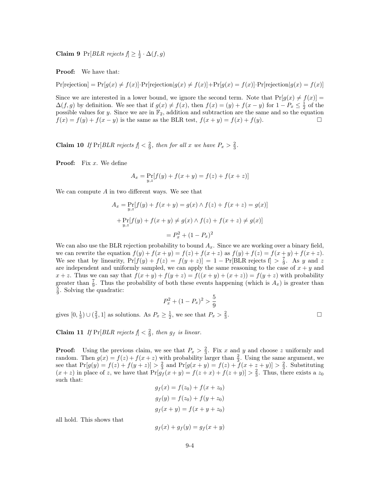**Claim 9** Pr[*BLR rejects*  $f \geq \frac{1}{2} \cdot \Delta(f, g)$ 

Proof: We have that:

 $Pr[rejection] = Pr[g(x) \neq f(x)] \cdot Pr[rejection]g(x) \neq f(x)] + Pr[g(x) = f(x)] \cdot Pr[rejection]g(x) = f(x)]$ 

Since we are interested in a lower bound, we ignore the second term. Note that  $Pr[g(x) \neq f(x)]$  $\Delta(f,g)$  by definition. We see that if  $g(x) \neq f(x)$ , then  $f(x) = (y) + f(x - y)$  for  $1 - P_x \leq \frac{1}{2}$  of the possible values for y. Since we are in  $\mathbb{F}_2$ , addition and subtraction are the same and so the equation  $f(x) = f(y) + f(x - y)$  is the same as the BLR test,  $f(x + y) = f(x) + f(y)$ .

**Claim 10** If  $Pr[BLR$  rejects  $f \leq \frac{2}{9}$ , then for all x we have  $P_x > \frac{2}{3}$ .

**Proof:** Fix  $x$ . We define

$$
A_x = \Pr_{y,z}[f(y) + f(x+y) = f(z) + f(x+z)]
$$

We can compute  $A$  in two different ways. We see that

$$
A_x = \Pr_{y,z}[f(y) + f(x + y) = g(x) \land f(z) + f(x + z) = g(x)]
$$
  
+ 
$$
\Pr_{y,z}[f(y) + f(x + y) \neq g(x) \land f(z) + f(x + z) \neq g(x)]
$$
  
= 
$$
P_x^2 + (1 - P_x)^2
$$

We can also use the BLR rejection probability to bound  $A_x$ . Since we are working over a binary field, we can rewrite the equation  $f(y) + f(x + y) = f(z) + f(x + z)$  as  $f(y) + f(z) = f(x + y) + f(x + z)$ . We see that by linearity,  $Pr[f(y) + f(z) = f(y + z)] = 1 - Pr[BLR$  rejects  $f > \frac{7}{9}$ . As y and z are independent and uniformly sampled, we can apply the same reasoning to the case of  $x + y$  and  $x + z$ . Thus we can say that  $f(x + y) + f(y + z) = f((x + y) + (x + z)) = f(y + z)$  with probability greater than  $\frac{7}{9}$ . Thus the probability of both these events happening (which is  $A_x$ ) is greater than  $\frac{5}{9}$ . Solving the quadratic:

$$
P_x^2 + (1 - P_x)^2 > \frac{5}{9}
$$

gives  $[0, \frac{1}{3}) \cup (\frac{2}{3}, 1]$  as solutions. As  $P_x \ge \frac{1}{2}$ , we see that  $P_x > \frac{2}{3}$ 

. — Первый профессиональный профессиональный профессиональный профессиональный профессиональный профессиональн<br>В 1990 году в 1990 году в 1990 году в 1990 году в 1990 году в 1990 году в 1990 году в 1990 году в 1990 году в<br>

**Claim 11** If  $Pr[BLR$  rejects  $f \leq \frac{2}{9}$ , then  $g_f$  is linear.

**Proof:** Using the previous claim, we see that  $P_x > \frac{2}{3}$ . Fix x and y and choose z uniformly and random. Then  $g(x) = f(z) + f(x + z)$  with probability larger than  $\frac{2}{3}$ . Using the same argument, we see that  $Pr[g(y) = f(z) + f(y + z)] > \frac{2}{3}$  and  $Pr[g(x + y) = f(z) + f(x + z + y)] > \frac{2}{3}$ . Substituting  $(x + z)$  in place of z, we have that  $\Pr[g_f(x + y) = f(z + x) + f(z + y)] > \frac{2}{3}$ . Thus, there exists a z<sub>0</sub> such that:

$$
g_f(x) = f(z_0) + f(x + z_0)
$$
  
\n
$$
g_f(y) = f(z_0) + f(y + z_0)
$$
  
\n
$$
g_f(x + y) = f(x + y + z_0)
$$

all hold. This shows that

$$
g_f(x) + g_f(y) = g_f(x + y)
$$